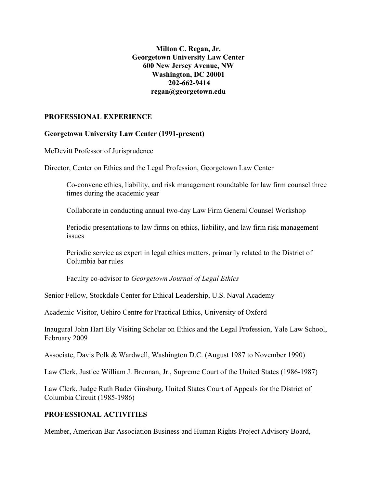## **Milton C. Regan, Jr. Georgetown University Law Center 600 New Jersey Avenue, NW Washington, DC 20001 202-662-9414 regan@georgetown.edu**

## **PROFESSIONAL EXPERIENCE**

#### **Georgetown University Law Center (1991-present)**

McDevitt Professor of Jurisprudence

Director, Center on Ethics and the Legal Profession, Georgetown Law Center

Co-convene ethics, liability, and risk management roundtable for law firm counsel three times during the academic year

Collaborate in conducting annual two-day Law Firm General Counsel Workshop

Periodic presentations to law firms on ethics, liability, and law firm risk management issues

Periodic service as expert in legal ethics matters, primarily related to the District of Columbia bar rules

Faculty co-advisor to *Georgetown Journal of Legal Ethics*

Senior Fellow, Stockdale Center for Ethical Leadership, U.S. Naval Academy

Academic Visitor, Uehiro Centre for Practical Ethics, University of Oxford

Inaugural John Hart Ely Visiting Scholar on Ethics and the Legal Profession, Yale Law School, February 2009

Associate, Davis Polk & Wardwell, Washington D.C. (August 1987 to November 1990)

Law Clerk, Justice William J. Brennan, Jr., Supreme Court of the United States (1986-1987)

Law Clerk, Judge Ruth Bader Ginsburg, United States Court of Appeals for the District of Columbia Circuit (1985-1986)

#### **PROFESSIONAL ACTIVITIES**

Member, American Bar Association Business and Human Rights Project Advisory Board,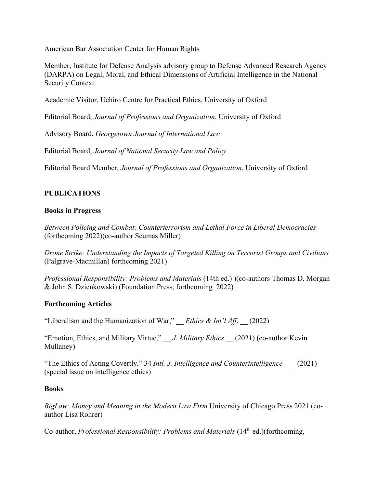American Bar Association Center for Human Rights

Member, Institute for Defense Analysis advisory group to Defense Advanced Research Agency (DARPA) on Legal, Moral, and Ethical Dimensions of Artificial Intelligence in the National Security Context

Academic Visitor, Uehiro Centre for Practical Ethics, University of Oxford

Editorial Board, *Journal of Professions and Organization*, University of Oxford

Advisory Board, *Georgetown Journal of International Law*

Editorial Board, *Journal of National Security Law and Policy*

Editorial Board Member, *Journal of Professions and Organization*, University of Oxford

## **PUBLICATIONS**

## **Books in Progress**

*Between Policing and Combat: Counterterrorism and Lethal Force in Liberal Democracies* (forthcoming 2022)(co-author Seumas Miller)

*Drone Strike: Understanding the Impacts of Targeted Killing on Terrorist Groups and Civilians*  (Palgrave-Macmillan) forthcoming 2021)

*Professional Responsibility: Problems and Materials* (14th ed.) )(co-authors Thomas D. Morgan & John S. Dzienkowski) (Foundation Press, forthcoming 2022)

#### **Forthcoming Articles**

"Liberalism and the Humanization of War," \_\_ *Ethics & Int'l Aff*. \_\_ (2022)

"Emotion, Ethics, and Military Virtue," \_\_ *J. Military Ethics* \_\_ (2021) (co-author Kevin Mullaney)

"The Ethics of Acting Covertly," 34 *Intl. J. Intelligence and Counterintelligence* \_\_\_ (2021) (special issue on intelligence ethics)

#### **Books**

*BigLaw: Money and Meaning in the Modern Law Firm* University of Chicago Press 2021 (coauthor Lisa Rohrer)

Co-author, *Professional Responsibility: Problems and Materials* (14<sup>th</sup> ed.)(forthcoming,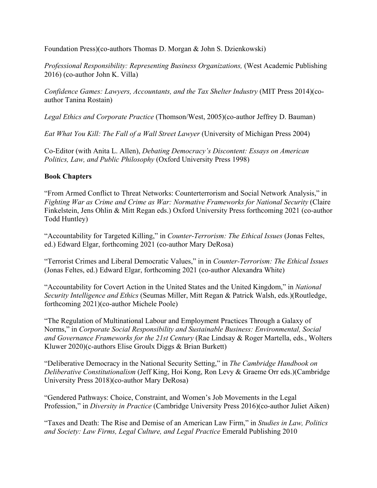Foundation Press)(co-authors Thomas D. Morgan & John S. Dzienkowski)

*Professional Responsibility: Representing Business Organizations,* (West Academic Publishing 2016) (co-author John K. Villa)

*Confidence Games: Lawyers, Accountants, and the Tax Shelter Industry* (MIT Press 2014)(coauthor Tanina Rostain)

*Legal Ethics and Corporate Practice* (Thomson/West, 2005)(co-author Jeffrey D. Bauman)

*Eat What You Kill: The Fall of a Wall Street Lawyer* (University of Michigan Press 2004)

Co-Editor (with Anita L. Allen), *Debating Democracy's Discontent: Essays on American Politics, Law, and Public Philosophy* (Oxford University Press 1998)

## **Book Chapters**

"From Armed Conflict to Threat Networks: Counterterrorism and Social Network Analysis," in *Fighting War as Crime and Crime as War: Normative Frameworks for National Security* (Claire Finkelstein, Jens Ohlin & Mitt Regan eds.) Oxford University Press forthcoming 2021 (co-author Todd Huntley)

"Accountability for Targeted Killing," in *Counter-Terrorism: The Ethical Issues* (Jonas Feltes, ed.) Edward Elgar, forthcoming 2021 (co-author Mary DeRosa)

"Terrorist Crimes and Liberal Democratic Values," in in *Counter-Terrorism: The Ethical Issues*  (Jonas Feltes, ed.) Edward Elgar, forthcoming 2021 (co-author Alexandra White)

"Accountability for Covert Action in the United States and the United Kingdom," in *National Security Intelligence and Ethics* (Seumas Miller, Mitt Regan & Patrick Walsh, eds.)(Routledge, forthcoming 2021)(co-author Michele Poole)

"The Regulation of Multinational Labour and Employment Practices Through a Galaxy of Norms," in *Corporate Social Responsibility and Sustainable Business: Environmental, Social and Governance Frameworks for the 21st Century* (Rae Lindsay & Roger Martella, eds., Wolters Kluwer 2020)(c-authors Elise Groulx Diggs & Brian Burkett)

"Deliberative Democracy in the National Security Setting," in *The Cambridge Handbook on Deliberative Constitutionalism* (Jeff King, Hoi Kong, Ron Levy & Graeme Orr eds.)(Cambridge University Press 2018)(co-author Mary DeRosa)

"Gendered Pathways: Choice, Constraint, and Women's Job Movements in the Legal Profession," in *Diversity in Practice* (Cambridge University Press 2016)(co-author Juliet Aiken)

"Taxes and Death: The Rise and Demise of an American Law Firm," in *Studies in Law, Politics and Society: Law Firms, Legal Culture, and Legal Practice* Emerald Publishing 2010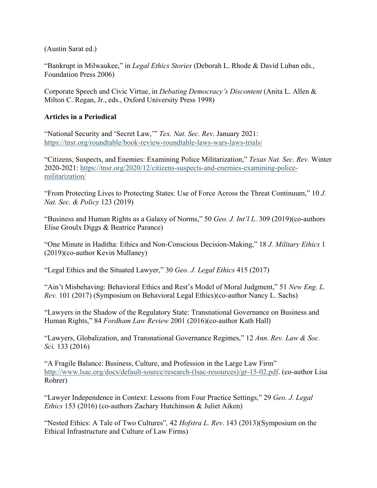(Austin Sarat ed.)

"Bankrupt in Milwaukee," in *Legal Ethics Stories* (Deborah L. Rhode & David Luban eds., Foundation Press 2006)

Corporate Speech and Civic Virtue, in *Debating Democracy's Discontent* (Anita L. Allen & Milton C. Regan, Jr., eds., Oxford University Press 1998)

## **Articles in a Periodical**

"National Security and 'Secret Law,'" *Tex. Nat. Sec. Rev*. January 2021: <https://tnsr.org/roundtable/book-review-roundtable-laws-wars-laws-trials/>

"Citizens, Suspects, and Enemies: Examining Police Militarization," *Texas Nat. Sec. Rev.* Winter 2020-2021: [https://tnsr.org/2020/12/citizens-suspects-and-enemies-examining-police](https://tnsr.org/2020/12/citizens-suspects-and-enemies-examining-police-militarization/)[militarization/](https://tnsr.org/2020/12/citizens-suspects-and-enemies-examining-police-militarization/)

"From Protecting Lives to Protecting States: Use of Force Across the Threat Continuum," 10 *J. Nat. Sec. & Policy* 123 (2019)

"Business and Human Rights as a Galaxy of Norms," 50 *Geo. J. Int'l L*. 309 (2019)(co-authors Elise Groulx Diggs & Beatrice Parance)

"One Minute in Haditha: Ethics and Non-Conscious Decision-Making," 18 *J. Military Ethics* 1 (2019)(co-author Kevin Mullaney)

"Legal Ethics and the Situated Lawyer," 30 *Geo. J. Legal Ethics* 415 (2017)

"Ain't Misbehaving: Behavioral Ethics and Rest's Model of Moral Judgment," 51 *New Eng. L. Rev.* 101 (2017) (Symposium on Behavioral Legal Ethics)(co-author Nancy L. Sachs)

"Lawyers in the Shadow of the Regulatory State: Transnational Governance on Business and Human Rights," 84 *Fordham Law Review* 2001 (2016)(co-author Kath Hall)

"Lawyers, Globalization, and Transnational Governance Regimes," 12 *Ann. Rev. Law & Soc. Sci.* 133 (2016)

"A Fragile Balance: Business, Culture, and Profession in the Large Law Firm" [http://www.lsac.org/docs/default-source/research-\(lsac-resources\)/gr-15-02.pdf.](http://www.lsac.org/docs/default-source/research-(lsac-resources)/gr-15-02.pdf) (co-author Lisa Rohrer)

"Lawyer Independence in Context: Lessons from Four Practice Settings," 29 *Geo. J. Legal Ethics* 153 (2016) (co-authors Zachary Hutchinson & Juliet Aiken)

"Nested Ethics: A Tale of Two Cultures"*,* 42 *Hofstra L. Rev*. 143 (2013)(Symposium on the Ethical Infrastructure and Culture of Law Firms)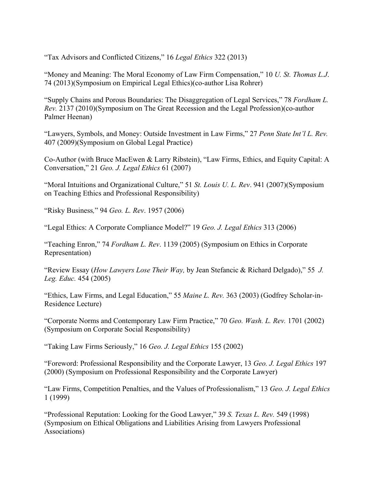"Tax Advisors and Conflicted Citizens," 16 *Legal Ethics* 322 (2013)

"Money and Meaning: The Moral Economy of Law Firm Compensation," 10 *U. St. Thomas L.J*. 74 (2013)(Symposium on Empirical Legal Ethics)(co-author Lisa Rohrer)

"Supply Chains and Porous Boundaries: The Disaggregation of Legal Services," 78 *Fordham L. Rev.* 2137 (2010)(Symposium on The Great Recession and the Legal Profession)(co-author Palmer Heenan)

"Lawyers, Symbols, and Money: Outside Investment in Law Firms," 27 *Penn State Int'l L. Rev.*  407 (2009)(Symposium on Global Legal Practice)

Co-Author (with Bruce MacEwen & Larry Ribstein), "Law Firms, Ethics, and Equity Capital: A Conversation," 21 *Geo. J. Legal Ethics* 61 (2007)

"Moral Intuitions and Organizational Culture," 51 *St. Louis U. L. Rev*. 941 (2007)(Symposium on Teaching Ethics and Professional Responsibility)

"Risky Business*,*" 94 *Geo. L. Rev*. 1957 (2006)

"Legal Ethics: A Corporate Compliance Model?" 19 *Geo. J. Legal Ethics* 313 (2006)

"Teaching Enron," 74 *Fordham L. Rev*. 1139 (2005) (Symposium on Ethics in Corporate Representation)

"Review Essay (*How Lawyers Lose Their Way,* by Jean Stefancic & Richard Delgado)," 55 *J. Leg. Educ.* 454 (2005)

"Ethics, Law Firms, and Legal Education," 55 *Maine L. Rev.* 363 (2003) (Godfrey Scholar-in-Residence Lecture)

"Corporate Norms and Contemporary Law Firm Practice," 70 *Geo. Wash. L. Rev.* 1701 (2002) (Symposium on Corporate Social Responsibility)

"Taking Law Firms Seriously," 16 *Geo. J. Legal Ethics* 155 (2002)

"Foreword: Professional Responsibility and the Corporate Lawyer, 13 *Geo. J. Legal Ethics* 197 (2000) (Symposium on Professional Responsibility and the Corporate Lawyer)

"Law Firms, Competition Penalties, and the Values of Professionalism," 13 *Geo. J. Legal Ethics* 1 (1999)

"Professional Reputation: Looking for the Good Lawyer," 39 *S. Texas L. Rev.* 549 (1998) (Symposium on Ethical Obligations and Liabilities Arising from Lawyers Professional Associations)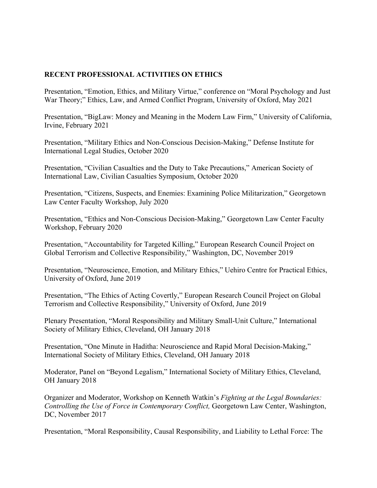## **RECENT PROFESSIONAL ACTIVITIES ON ETHICS**

Presentation, "Emotion, Ethics, and Military Virtue," conference on "Moral Psychology and Just War Theory;" Ethics, Law, and Armed Conflict Program, University of Oxford, May 2021

Presentation, "BigLaw: Money and Meaning in the Modern Law Firm," University of California, Irvine, February 2021

Presentation, "Military Ethics and Non-Conscious Decision-Making," Defense Institute for International Legal Studies, October 2020

Presentation, "Civilian Casualties and the Duty to Take Precautions," American Society of International Law, Civilian Casualties Symposium, October 2020

Presentation, "Citizens, Suspects, and Enemies: Examining Police Militarization," Georgetown Law Center Faculty Workshop, July 2020

Presentation, "Ethics and Non-Conscious Decision-Making," Georgetown Law Center Faculty Workshop, February 2020

Presentation, "Accountability for Targeted Killing," European Research Council Project on Global Terrorism and Collective Responsibility," Washington, DC, November 2019

Presentation, "Neuroscience, Emotion, and Military Ethics," Uehiro Centre for Practical Ethics, University of Oxford, June 2019

Presentation, "The Ethics of Acting Covertly," European Research Council Project on Global Terrorism and Collective Responsibility," University of Oxford, June 2019

Plenary Presentation, "Moral Responsibility and Military Small-Unit Culture," International Society of Military Ethics, Cleveland, OH January 2018

Presentation, "One Minute in Haditha: Neuroscience and Rapid Moral Decision-Making," International Society of Military Ethics, Cleveland, OH January 2018

Moderator, Panel on "Beyond Legalism," International Society of Military Ethics, Cleveland, OH January 2018

Organizer and Moderator, Workshop on Kenneth Watkin's *Fighting at the Legal Boundaries: Controlling the Use of Force in Contemporary Conflict,* Georgetown Law Center, Washington, DC, November 2017

Presentation, "Moral Responsibility, Causal Responsibility, and Liability to Lethal Force: The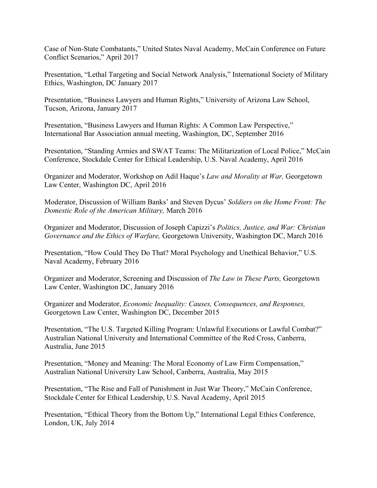Case of Non-State Combatants," United States Naval Academy, McCain Conference on Future Conflict Scenarios," April 2017

Presentation, "Lethal Targeting and Social Network Analysis," International Society of Military Ethics, Washington, DC January 2017

Presentation, "Business Lawyers and Human Rights," University of Arizona Law School, Tucson, Arizona, January 2017

Presentation, "Business Lawyers and Human Rights: A Common Law Perspective," International Bar Association annual meeting, Washington, DC, September 2016

Presentation, "Standing Armies and SWAT Teams: The Militarization of Local Police," McCain Conference, Stockdale Center for Ethical Leadership, U.S. Naval Academy, April 2016

Organizer and Moderator, Workshop on Adil Haque's *Law and Morality at War,* Georgetown Law Center, Washington DC, April 2016

Moderator, Discussion of William Banks' and Steven Dycus' *Soldiers on the Home Front: The Domestic Role of the American Military,* March 2016

Organizer and Moderator, Discussion of Joseph Capizzi's *Politics, Justice, and War: Christian Governance and the Ethics of Warfare,* Georgetown University, Washington DC, March 2016

Presentation, "How Could They Do That? Moral Psychology and Unethical Behavior," U.S. Naval Academy, February 2016

Organizer and Moderator, Screening and Discussion of *The Law in These Parts,* Georgetown Law Center, Washington DC, January 2016

Organizer and Moderator, *Economic Inequality: Causes, Consequences, and Responses,*  Georgetown Law Center, Washington DC, December 2015

Presentation, "The U.S. Targeted Killing Program: Unlawful Executions or Lawful Combat?" Australian National University and International Committee of the Red Cross, Canberra, Australia, June 2015

Presentation, "Money and Meaning: The Moral Economy of Law Firm Compensation," Australian National University Law School, Canberra, Australia, May 2015

Presentation, "The Rise and Fall of Punishment in Just War Theory," McCain Conference, Stockdale Center for Ethical Leadership, U.S. Naval Academy, April 2015

Presentation, "Ethical Theory from the Bottom Up," International Legal Ethics Conference, London, UK, July 2014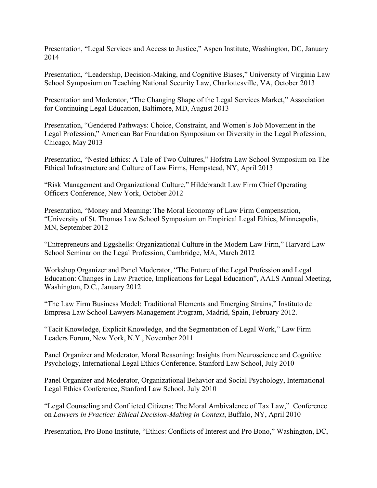Presentation, "Legal Services and Access to Justice," Aspen Institute, Washington, DC, January 2014

Presentation, "Leadership, Decision-Making, and Cognitive Biases," University of Virginia Law School Symposium on Teaching National Security Law, Charlottesville, VA, October 2013

Presentation and Moderator, "The Changing Shape of the Legal Services Market," Association for Continuing Legal Education, Baltimore, MD, August 2013

Presentation, "Gendered Pathways: Choice, Constraint, and Women's Job Movement in the Legal Profession," American Bar Foundation Symposium on Diversity in the Legal Profession, Chicago, May 2013

Presentation, "Nested Ethics: A Tale of Two Cultures," Hofstra Law School Symposium on The Ethical Infrastructure and Culture of Law Firms, Hempstead, NY, April 2013

"Risk Management and Organizational Culture," Hildebrandt Law Firm Chief Operating Officers Conference, New York, October 2012

Presentation, "Money and Meaning: The Moral Economy of Law Firm Compensation, "University of St. Thomas Law School Symposium on Empirical Legal Ethics, Minneapolis, MN, September 2012

"Entrepreneurs and Eggshells: Organizational Culture in the Modern Law Firm," Harvard Law School Seminar on the Legal Profession, Cambridge, MA, March 2012

Workshop Organizer and Panel Moderator, "The Future of the Legal Profession and Legal Education: Changes in Law Practice, Implications for Legal Education", AALS Annual Meeting, Washington, D.C., January 2012

"The Law Firm Business Model: Traditional Elements and Emerging Strains," Instituto de Empresa Law School Lawyers Management Program, Madrid, Spain, February 2012.

"Tacit Knowledge, Explicit Knowledge, and the Segmentation of Legal Work," Law Firm Leaders Forum, New York, N.Y., November 2011

Panel Organizer and Moderator, Moral Reasoning: Insights from Neuroscience and Cognitive Psychology, International Legal Ethics Conference, Stanford Law School, July 2010

Panel Organizer and Moderator, Organizational Behavior and Social Psychology, International Legal Ethics Conference, Stanford Law School, July 2010

"Legal Counseling and Conflicted Citizens: The Moral Ambivalence of Tax Law," Conference on *Lawyers in Practice: Ethical Decision-Making in Context*, Buffalo, NY, April 2010

Presentation, Pro Bono Institute, "Ethics: Conflicts of Interest and Pro Bono," Washington, DC,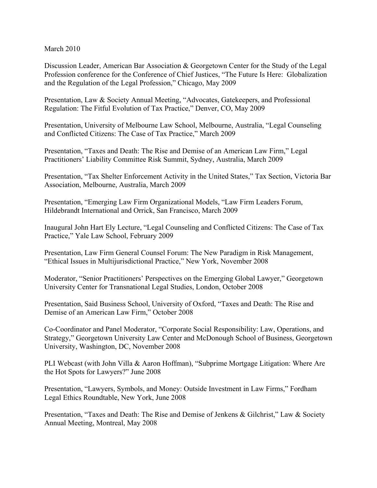March 2010

Discussion Leader, American Bar Association & Georgetown Center for the Study of the Legal Profession conference for the Conference of Chief Justices, "The Future Is Here: Globalization and the Regulation of the Legal Profession," Chicago, May 2009

Presentation, Law & Society Annual Meeting, "Advocates, Gatekeepers, and Professional Regulation: The Fitful Evolution of Tax Practice," Denver, CO, May 2009

Presentation, University of Melbourne Law School, Melbourne, Australia, "Legal Counseling and Conflicted Citizens: The Case of Tax Practice," March 2009

Presentation, "Taxes and Death: The Rise and Demise of an American Law Firm," Legal Practitioners' Liability Committee Risk Summit, Sydney, Australia, March 2009

Presentation, "Tax Shelter Enforcement Activity in the United States," Tax Section, Victoria Bar Association, Melbourne, Australia, March 2009

Presentation, "Emerging Law Firm Organizational Models, "Law Firm Leaders Forum, Hildebrandt International and Orrick, San Francisco, March 2009

Inaugural John Hart Ely Lecture, "Legal Counseling and Conflicted Citizens: The Case of Tax Practice," Yale Law School, February 2009

Presentation, Law Firm General Counsel Forum: The New Paradigm in Risk Management, "Ethical Issues in Multijurisdictional Practice," New York, November 2008

Moderator, "Senior Practitioners' Perspectives on the Emerging Global Lawyer," Georgetown University Center for Transnational Legal Studies, London, October 2008

Presentation, Said Business School, University of Oxford, "Taxes and Death: The Rise and Demise of an American Law Firm," October 2008

Co-Coordinator and Panel Moderator, "Corporate Social Responsibility: Law, Operations, and Strategy," Georgetown University Law Center and McDonough School of Business, Georgetown University, Washington, DC, November 2008

PLI Webcast (with John Villa & Aaron Hoffman), "Subprime Mortgage Litigation: Where Are the Hot Spots for Lawyers?" June 2008

Presentation, "Lawyers, Symbols, and Money: Outside Investment in Law Firms," Fordham Legal Ethics Roundtable, New York, June 2008

Presentation, "Taxes and Death: The Rise and Demise of Jenkens & Gilchrist," Law & Society Annual Meeting, Montreal, May 2008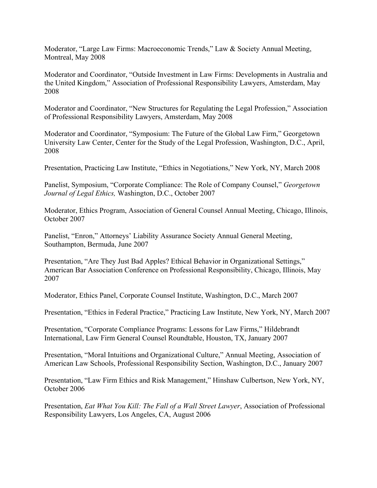Moderator, "Large Law Firms: Macroeconomic Trends," Law & Society Annual Meeting, Montreal, May 2008

Moderator and Coordinator, "Outside Investment in Law Firms: Developments in Australia and the United Kingdom," Association of Professional Responsibility Lawyers, Amsterdam, May 2008

Moderator and Coordinator, "New Structures for Regulating the Legal Profession," Association of Professional Responsibility Lawyers, Amsterdam, May 2008

Moderator and Coordinator, "Symposium: The Future of the Global Law Firm," Georgetown University Law Center, Center for the Study of the Legal Profession, Washington, D.C., April, 2008

Presentation, Practicing Law Institute, "Ethics in Negotiations," New York, NY, March 2008

Panelist, Symposium, "Corporate Compliance: The Role of Company Counsel," *Georgetown Journal of Legal Ethics,* Washington, D.C., October 2007

Moderator, Ethics Program, Association of General Counsel Annual Meeting, Chicago, Illinois, October 2007

Panelist, "Enron," Attorneys' Liability Assurance Society Annual General Meeting, Southampton, Bermuda, June 2007

Presentation, "Are They Just Bad Apples? Ethical Behavior in Organizational Settings," American Bar Association Conference on Professional Responsibility, Chicago, Illinois, May 2007

Moderator, Ethics Panel, Corporate Counsel Institute, Washington, D.C., March 2007

Presentation, "Ethics in Federal Practice," Practicing Law Institute, New York, NY, March 2007

Presentation, "Corporate Compliance Programs: Lessons for Law Firms," Hildebrandt International, Law Firm General Counsel Roundtable, Houston, TX, January 2007

Presentation, "Moral Intuitions and Organizational Culture," Annual Meeting, Association of American Law Schools, Professional Responsibility Section, Washington, D.C., January 2007

Presentation, "Law Firm Ethics and Risk Management," Hinshaw Culbertson, New York, NY, October 2006

Presentation, *Eat What You Kill: The Fall of a Wall Street Lawyer*, Association of Professional Responsibility Lawyers, Los Angeles, CA, August 2006